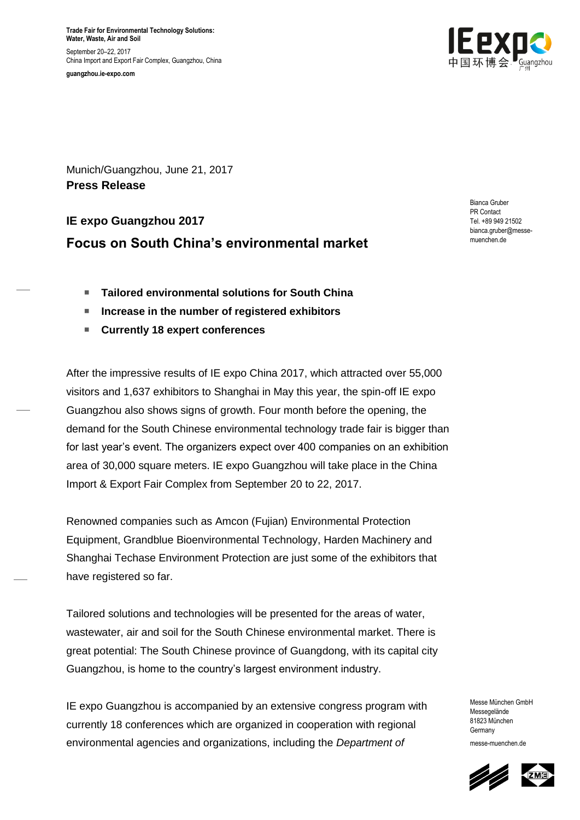**Trade Fair for Environmental Technology Solutions: Water, Waste, Air and Soil** September 20–22, 2017 China Import and Export Fair Complex, Guangzhou, China

**guangzhou.ie-expo.com**



Munich/Guangzhou, June 21, 2017 **Press Release**

# **IE expo Guangzhou 2017 Focus on South China's environmental market**

Bianca Gruber PR Contact Tel. +89 949 21502 bianca.gruber@messemuenchen.de

- **Tailored environmental solutions for South China**
- Increase in the number of registered exhibitors
- **Currently 18 expert conferences**

After the impressive results of IE expo China 2017, which attracted over 55,000 visitors and 1,637 exhibitors to Shanghai in May this year, the spin-off IE expo Guangzhou also shows signs of growth. Four month before the opening, the demand for the South Chinese environmental technology trade fair is bigger than for last year's event. The organizers expect over 400 companies on an exhibition area of 30,000 square meters. IE expo Guangzhou will take place in the China Import & Export Fair Complex from September 20 to 22, 2017.

Renowned companies such as Amcon (Fujian) Environmental Protection Equipment, Grandblue Bioenvironmental Technology, Harden Machinery and Shanghai Techase Environment Protection are just some of the exhibitors that have registered so far.

Tailored solutions and technologies will be presented for the areas of water, wastewater, air and soil for the South Chinese environmental market. There is great potential: The South Chinese province of Guangdong, with its capital city Guangzhou, is home to the country's largest environment industry.

IE expo Guangzhou is accompanied by an extensive congress program with currently 18 conferences which are organized in cooperation with regional environmental agencies and organizations, including the *Department of* 

Messe München GmbH Messegelände 81823 München Germany messe-muenchen.de